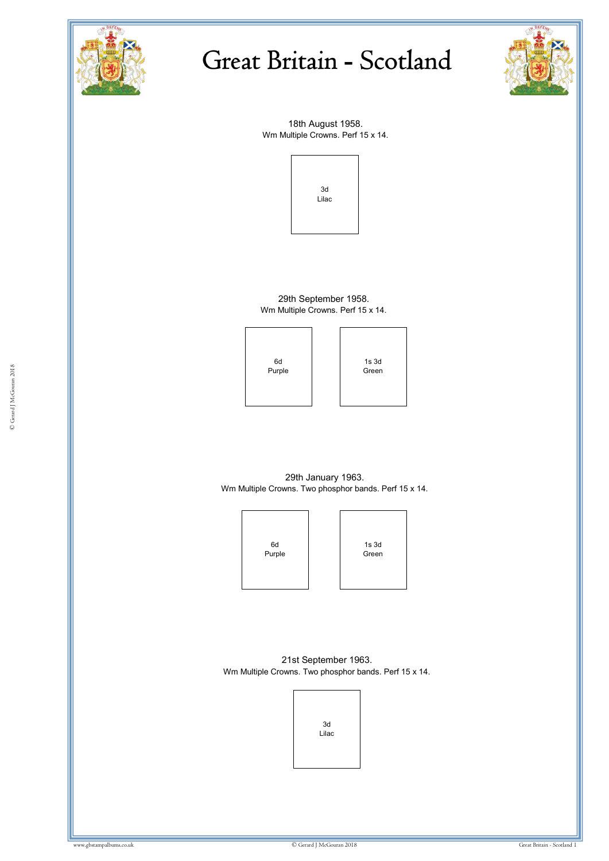



18th August 1958. Wm Multiple Crowns. Perf 15 x 14.



29th September 1958. Wm Multiple Crowns. Perf 15 x 14.

6d Purple

Purple Green Communications of the Communication of the Communication of the Communication of the Communication of the Communication of the Communication of the Communication of the Communication of the Communication of th ww.gbstampalbums.com 1s 3d Green

29th January 1963. Wm Multiple Crowns. Two phosphor bands. Perf 15 x 14.



21st September 1963. Wm Multiple Crowns. Two phosphor bands. Perf 15 x 14.

![](_page_0_Picture_11.jpeg)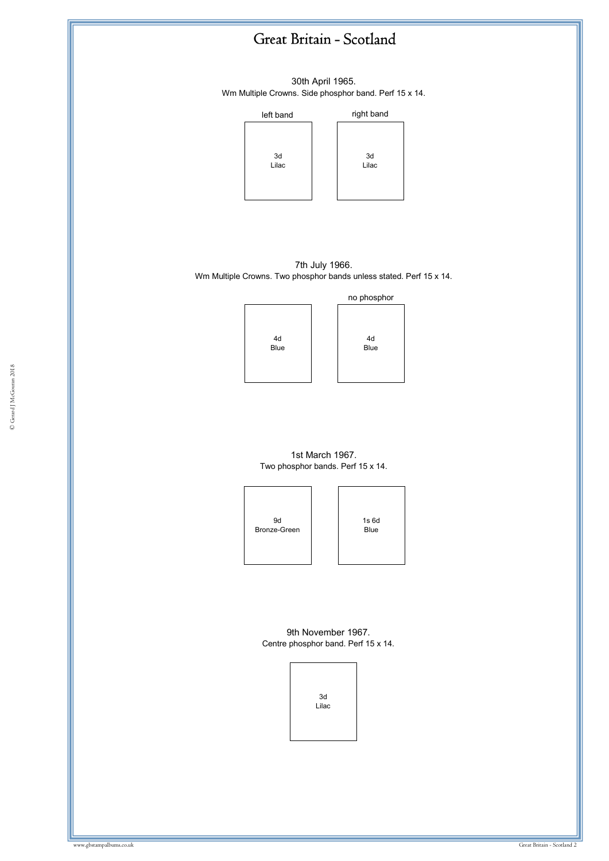30th April 1965. Wm Multiple Crowns. Side phosphor band. Perf 15 x 14.

![](_page_1_Figure_2.jpeg)

7th July 1966. Wm Multiple Crowns. Two phosphor bands unless stated. Perf 15 x 14.

![](_page_1_Figure_4.jpeg)

4d Blue no phosphor

1st March 1967. Two phosphor bands. Perf 15 x 14.

![](_page_1_Figure_7.jpeg)

![](_page_1_Figure_8.jpeg)

9th November 1967. Centre phosphor band. Perf 15 x 14.

> 3d Lilac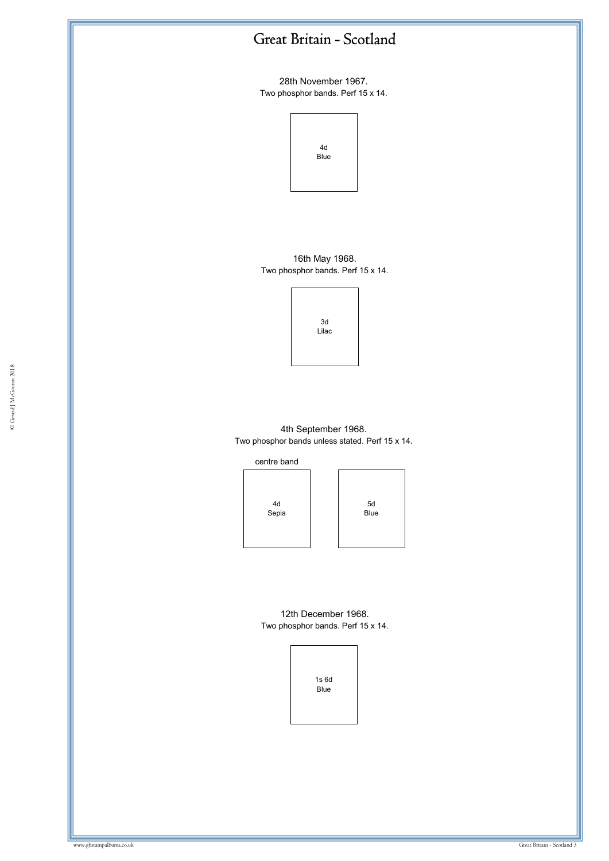28th November 1967. Two phosphor bands. Perf 15 x 14.

![](_page_2_Figure_2.jpeg)

16th May 1968. Two phosphor bands. Perf 15 x 14.

![](_page_2_Figure_4.jpeg)

4th September 1968. Two phosphor bands unless stated. Perf 15 x 14.

![](_page_2_Figure_6.jpeg)

4d Sepia

5d Blue

12th December 1968. Two phosphor bands. Perf 15 x 14.

![](_page_2_Figure_9.jpeg)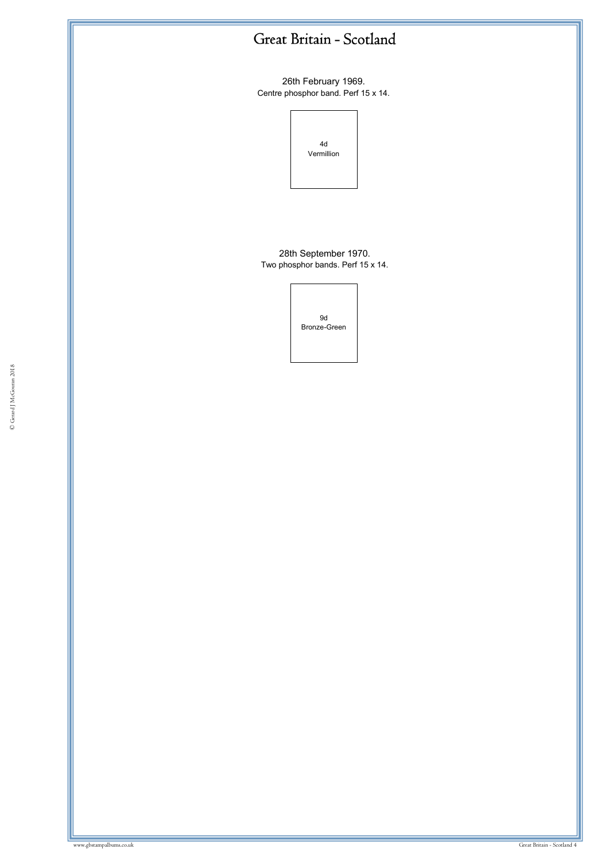26th February 1969. Centre phosphor band. Perf 15 x 14.

![](_page_3_Figure_2.jpeg)

28th September 1970. Two phosphor bands. Perf 15 x 14.

9d Bronze-Green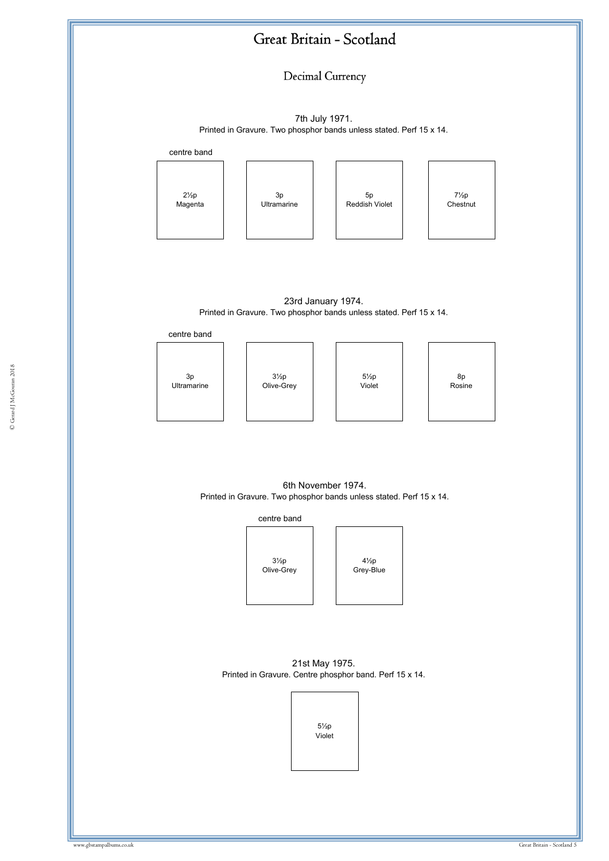Decimal Currency

7th July 1971. Printed in Gravure. Two phosphor bands unless stated. Perf 15 x 14.

![](_page_4_Figure_3.jpeg)

23rd January 1974. Printed in Gravure. Two phosphor bands unless stated. Perf 15 x 14.

centre band

![](_page_4_Figure_6.jpeg)

6th November 1974. Printed in Gravure. Two phosphor bands unless stated. Perf 15 x 14.

![](_page_4_Figure_8.jpeg)

21st May 1975. Printed in Gravure. Centre phosphor band. Perf 15 x 14.

![](_page_4_Figure_10.jpeg)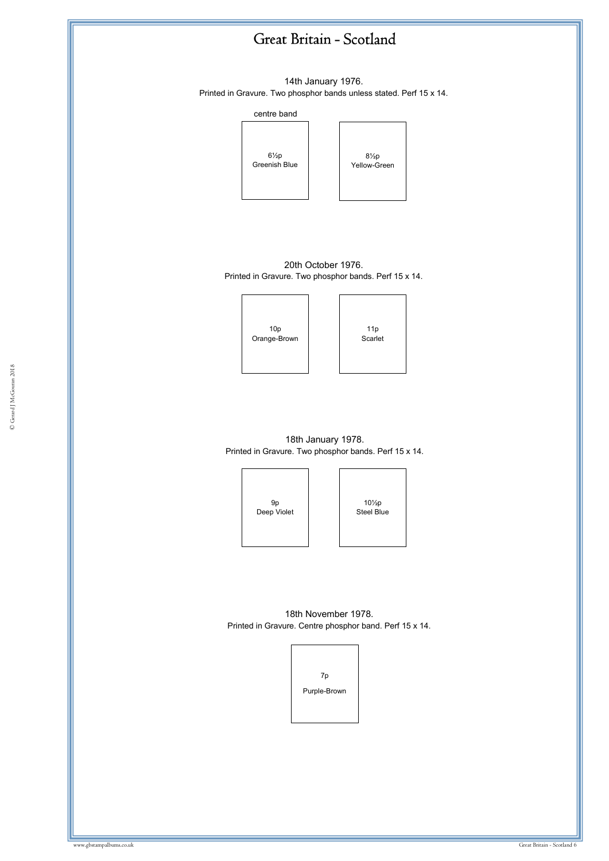![](_page_5_Figure_0.jpeg)

© Gerard J McGouran 2018 © Gerard J McGouran 2018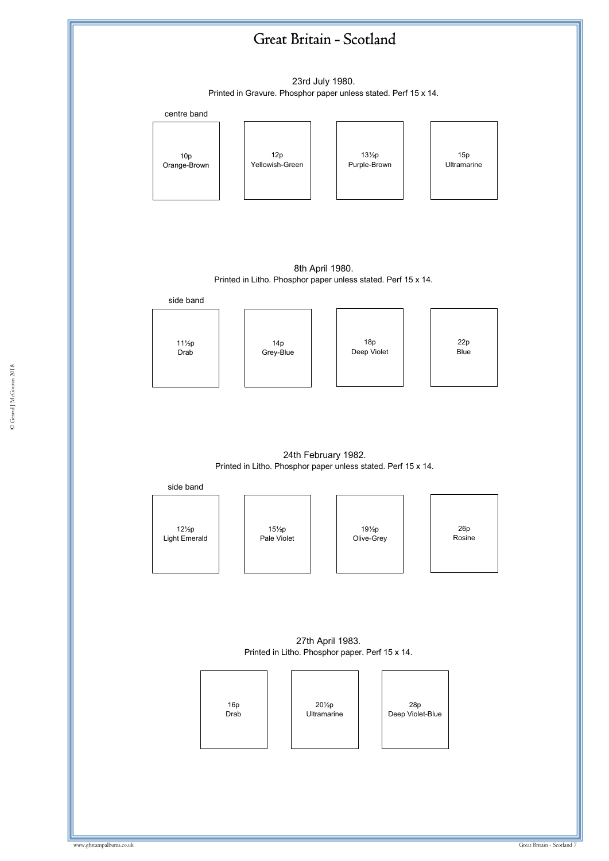![](_page_6_Figure_0.jpeg)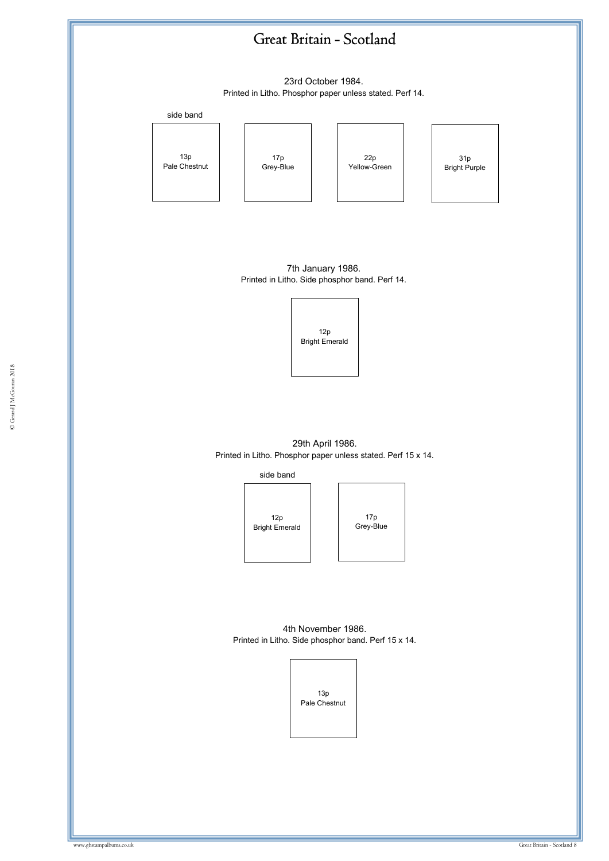![](_page_7_Figure_0.jpeg)

23rd October 1984. Printed in Litho. Phosphor paper unless stated. Perf 14.

side band

13p Pale Chestnut

17p Grey-Blue

![](_page_7_Picture_5.jpeg)

![](_page_7_Picture_6.jpeg)

7th January 1986. Printed in Litho. Side phosphor band. Perf 14.

![](_page_7_Picture_8.jpeg)

© Gerard J McGouran 2018

29th April 1986. Printed in Litho. Phosphor paper unless stated. Perf 15 x 14.

side band

12p Bright Emerald

17p Grey-Blue

4th November 1986. Printed in Litho. Side phosphor band. Perf 15 x 14.

![](_page_7_Picture_14.jpeg)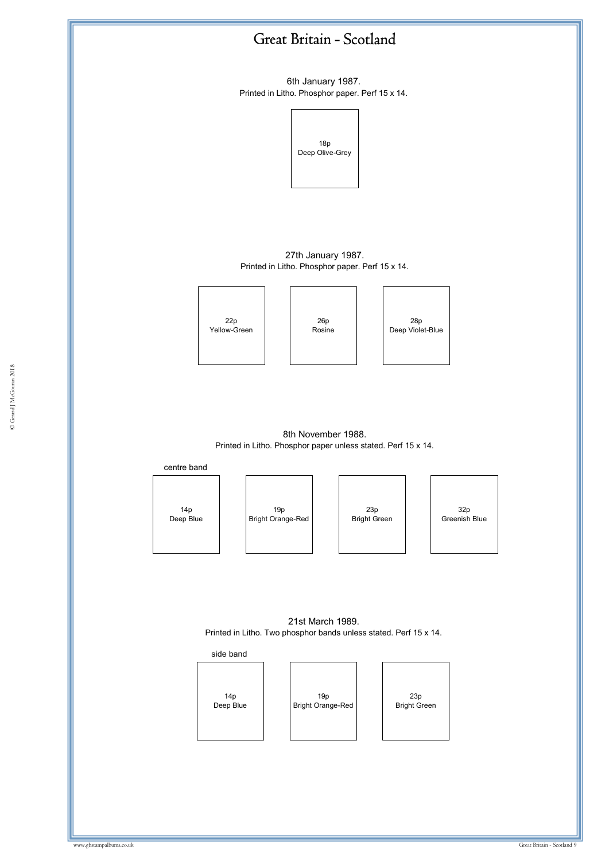![](_page_8_Figure_0.jpeg)

6th January 1987. Printed in Litho. Phosphor paper. Perf 15 x 14.

![](_page_8_Figure_2.jpeg)

27th January 1987. Printed in Litho. Phosphor paper. Perf 15 x 14.

![](_page_8_Figure_4.jpeg)

26p Rosine

28p Deep Violet-Blue

8th November 1988. Printed in Litho. Phosphor paper unless stated. Perf 15 x 14.

centre band

14p Deep Blue

19p Bright Orange-Red

23p Bright Green

32p Greenish Blue

21st March 1989. Printed in Litho. Two phosphor bands unless stated. Perf 15 x 14.

![](_page_8_Figure_14.jpeg)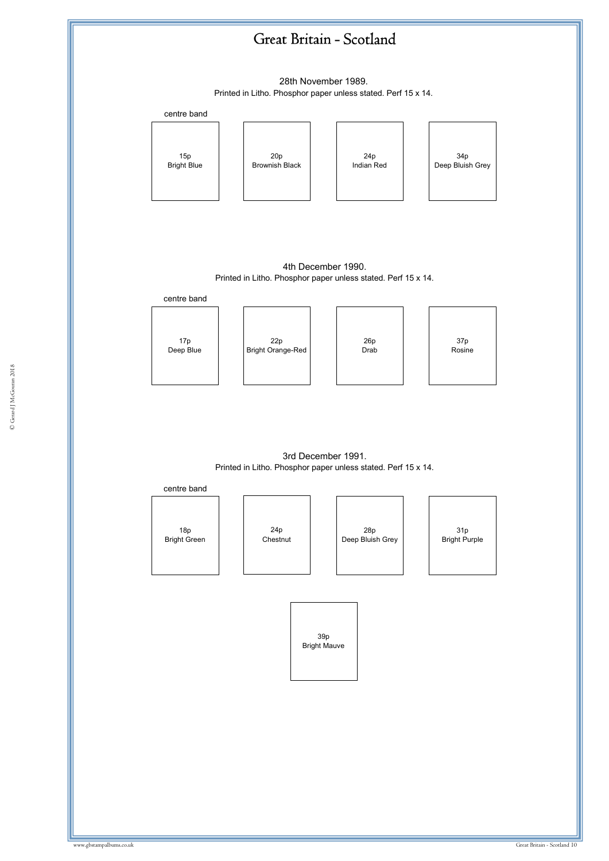![](_page_9_Figure_0.jpeg)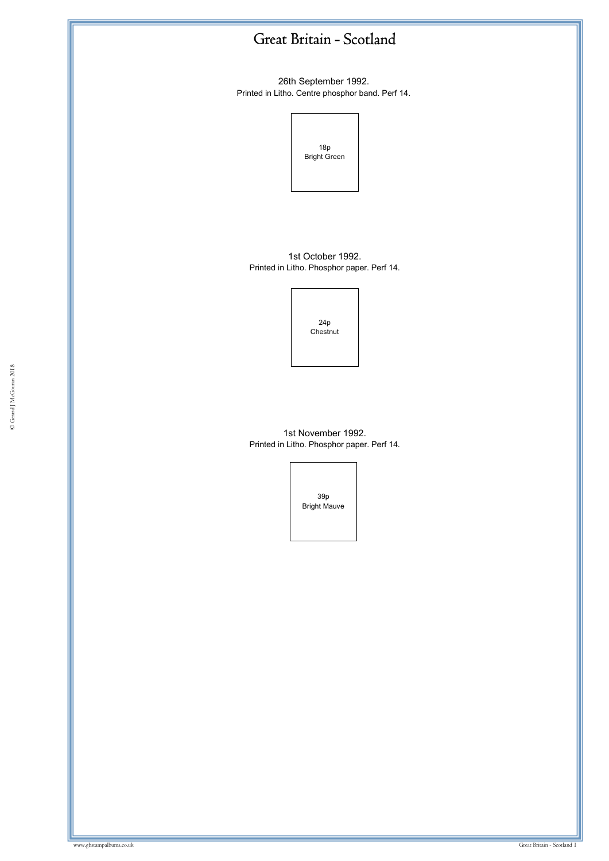26th September 1992. Printed in Litho. Centre phosphor band. Perf 14.

![](_page_10_Picture_2.jpeg)

1st October 1992. Printed in Litho. Phosphor paper. Perf 14.

> 24p **Chestnut**

1st November 1992. Printed in Litho. Phosphor paper. Perf 14.

> 39p Bright Mauve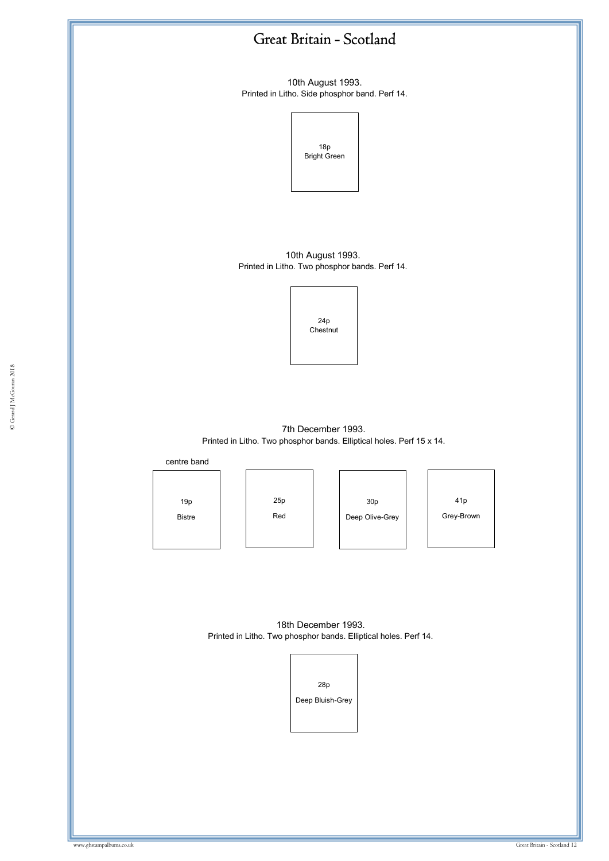10th August 1993. Printed in Litho. Side phosphor band. Perf 14.

![](_page_11_Figure_2.jpeg)

10th August 1993. Printed in Litho. Two phosphor bands. Perf 14.

![](_page_11_Picture_4.jpeg)

7th December 1993. Printed in Litho. Two phosphor bands. Elliptical holes. Perf 15 x 14.

centre band

19p Bistre

25p Red

30p Deep Olive-Grey

41p Grey-Brown

18th December 1993. Printed in Litho. Two phosphor bands. Elliptical holes. Perf 14.

![](_page_11_Picture_12.jpeg)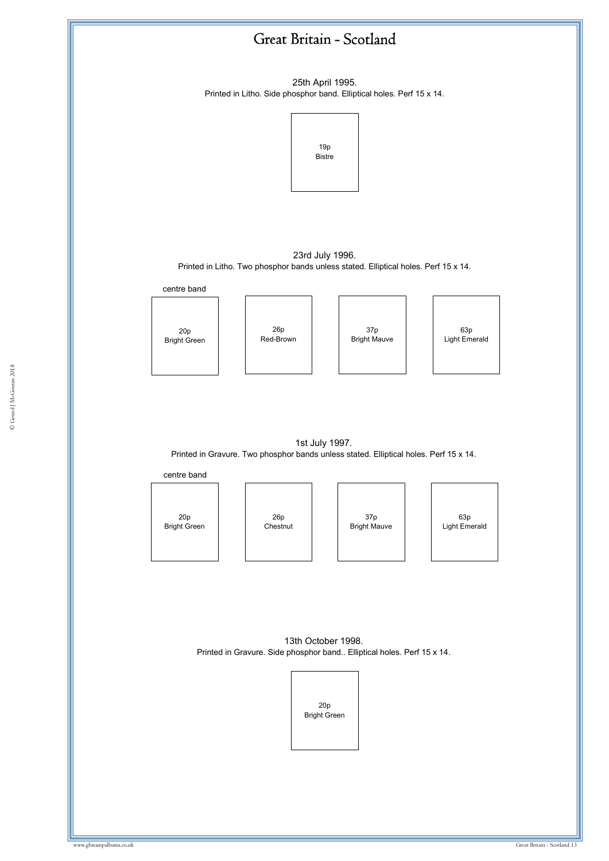![](_page_12_Figure_0.jpeg)

© Gerard J McGouran 2018 © Gerard J McGouran 2018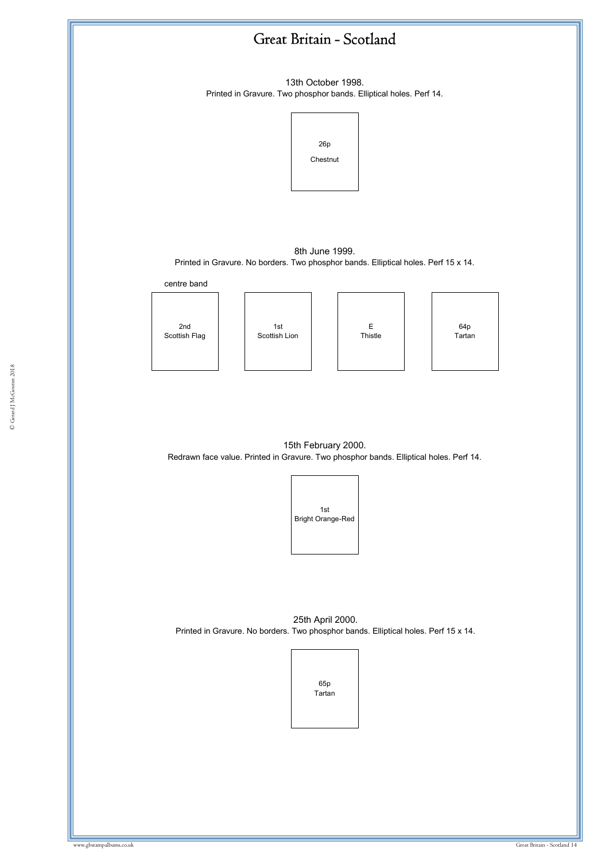![](_page_13_Figure_0.jpeg)

© Gerard J McGouran 2018 © Gerard J McGouran 2018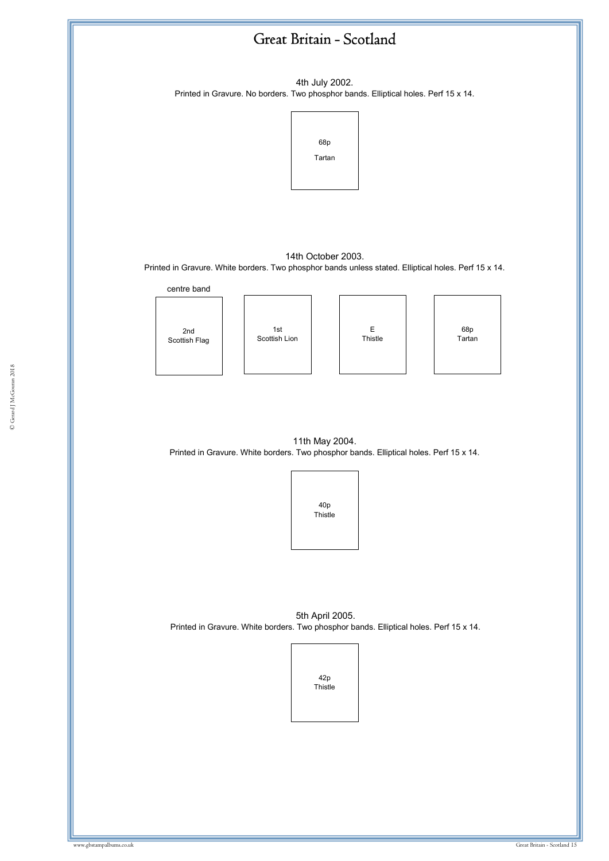![](_page_14_Figure_0.jpeg)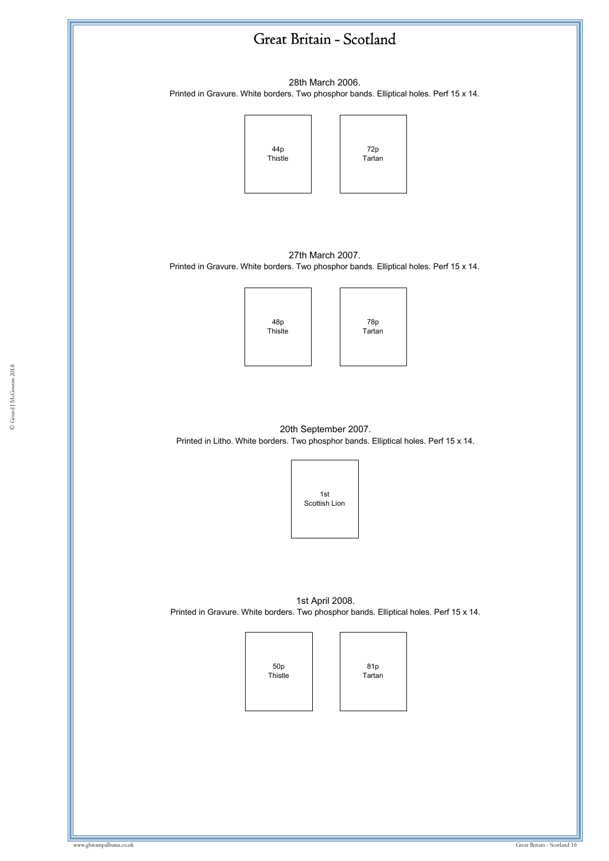![](_page_15_Figure_0.jpeg)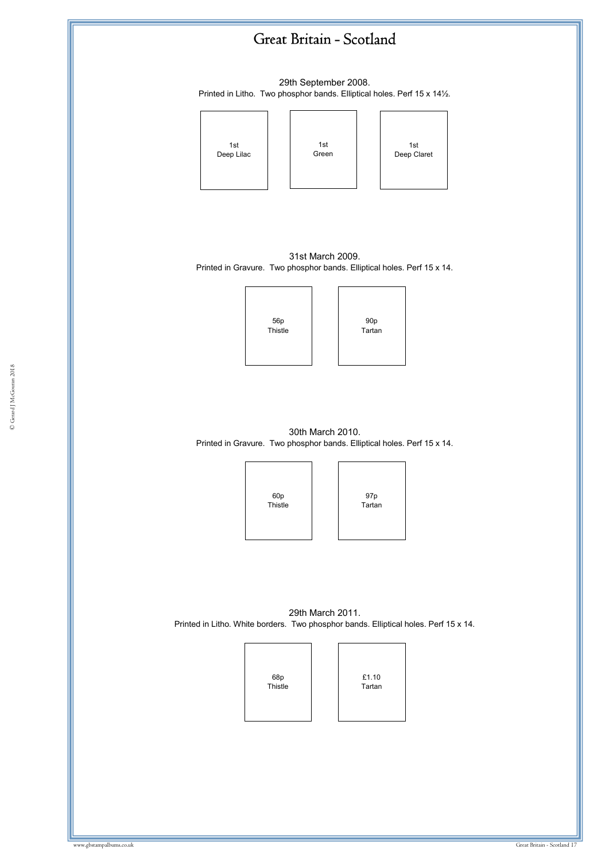29th September 2008. Printed in Litho. Two phosphor bands. Elliptical holes. Perf 15 x 14½.

![](_page_16_Figure_2.jpeg)

31st March 2009. Printed in Gravure. Two phosphor bands. Elliptical holes. Perf 15 x 14.

![](_page_16_Figure_4.jpeg)

30th March 2010. Printed in Gravure. Two phosphor bands. Elliptical holes. Perf 15 x 14.

![](_page_16_Figure_6.jpeg)

97p Tartan

29th March 2011. Printed in Litho. White borders. Two phosphor bands. Elliptical holes. Perf 15 x 14.

![](_page_16_Figure_9.jpeg)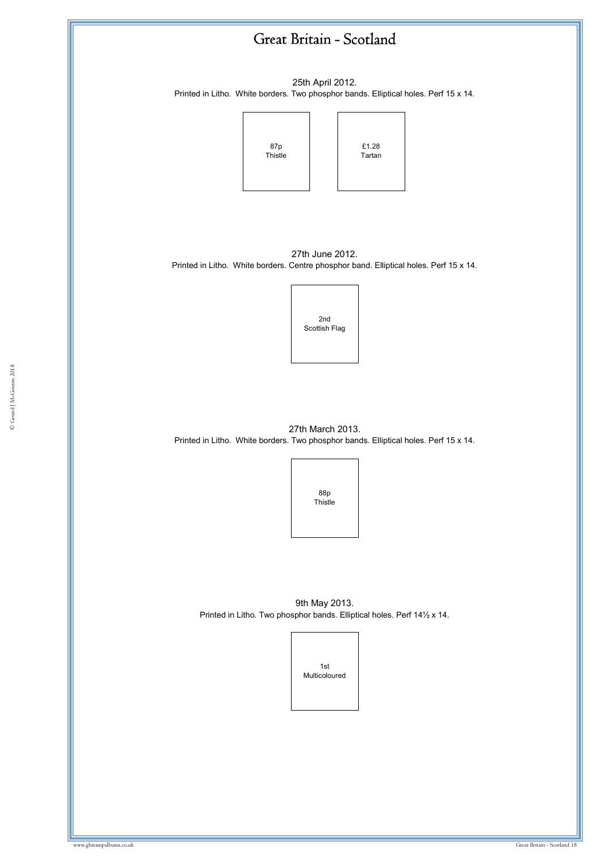![](_page_17_Figure_0.jpeg)

25th April 2012. Printed in Litho. White borders. Two phosphor bands. Elliptical holes. Perf 15 x 14.

![](_page_17_Figure_2.jpeg)

27th June 2012. Printed in Litho. White borders. Centre phosphor band. Elliptical holes. Perf 15 x 14.

![](_page_17_Picture_4.jpeg)

27th March 2013. Printed in Litho. White borders. Two phosphor bands. Elliptical holes. Perf 15 x 14.

![](_page_17_Picture_6.jpeg)

9th May 2013. Printed in Litho. Two phosphor bands. Elliptical holes. Perf 14½ x 14.

![](_page_17_Picture_8.jpeg)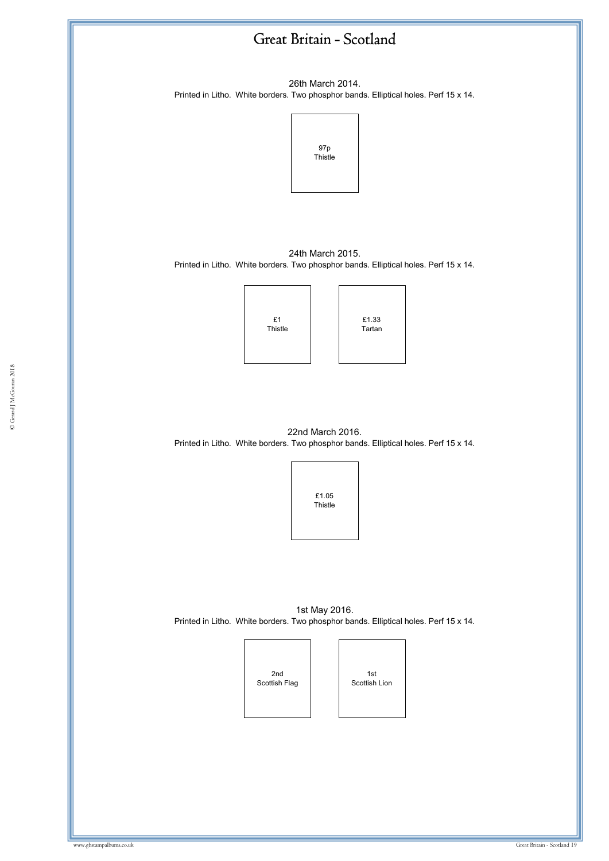![](_page_18_Figure_0.jpeg)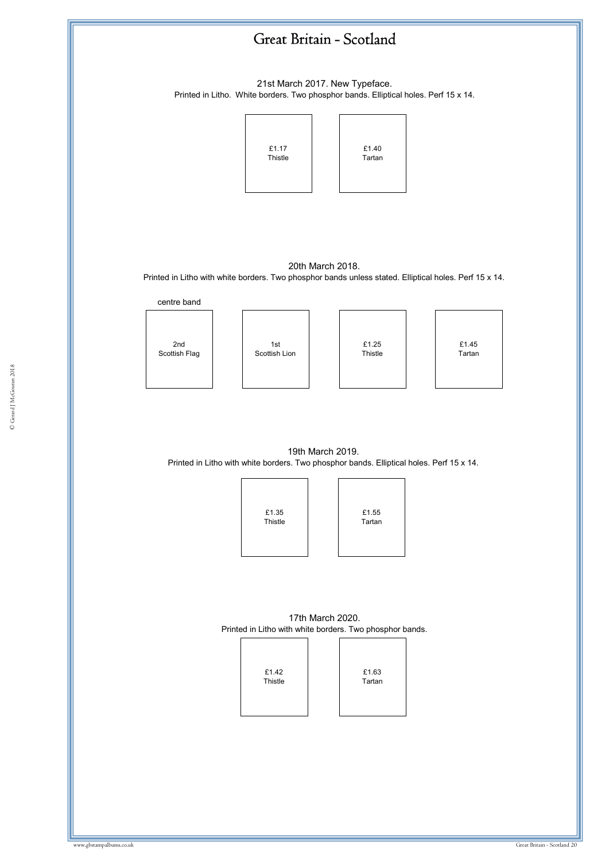![](_page_19_Figure_0.jpeg)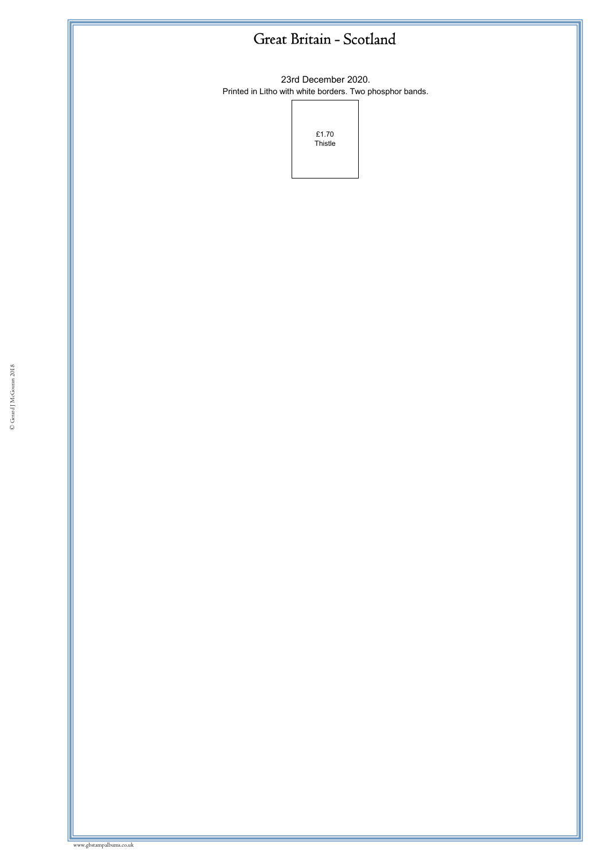23rd December 2020. Printed in Litho with white borders. Two phosphor bands.

![](_page_20_Figure_2.jpeg)

www.gbstampalbums.co.uk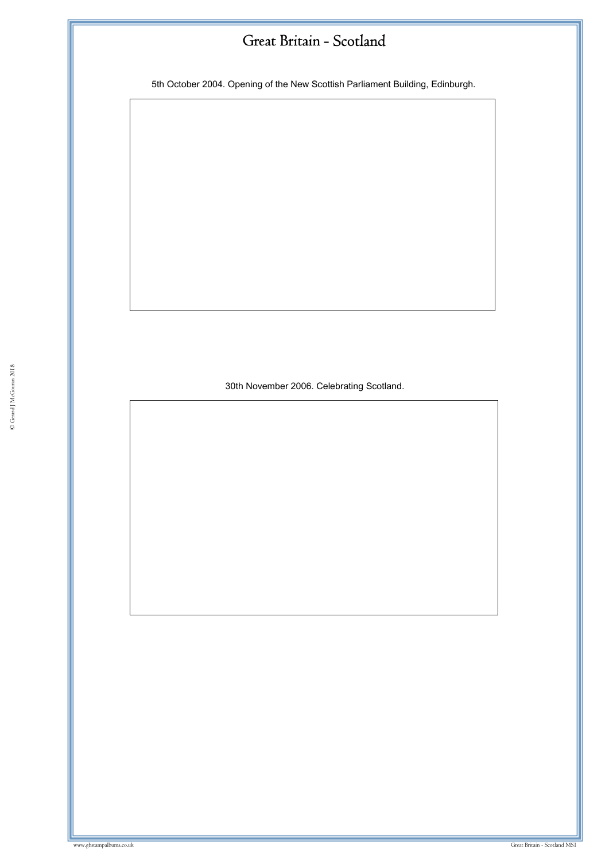5th October 2004. Opening of the New Scottish Parliament Building, Edinburgh.

30th November 2006. Celebrating Scotland.